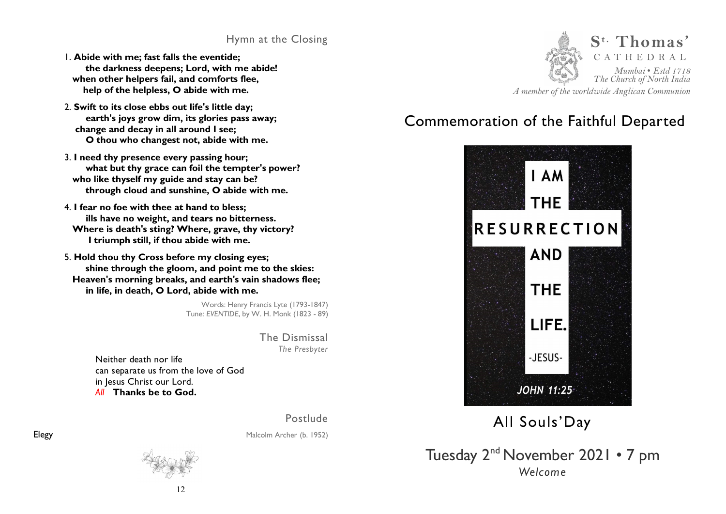# Hymn at the Closing

- 1. **Abide with me; fast falls the eventide; the darkness deepens; Lord, with me abide! when other helpers fail, and comforts flee, help of the helpless, O abide with me.**
- 2. **Swift to its close ebbs out life's little day; earth's joys grow dim, its glories pass away; change and decay in all around I see; O thou who changest not, abide with me.**
- 3. **I need thy presence every passing hour; what but thy grace can foil the tempter's power? who like thyself my guide and stay can be? through cloud and sunshine, O abide with me.**
- 4. **I fear no foe with thee at hand to bless; ills have no weight, and tears no bitterness. Where is death's sting? Where, grave, thy victory? I triumph still, if thou abide with me.**
- 5. **Hold thou thy Cross before my closing eyes; shine through the gloom, and point me to the skies: Heaven's morning breaks, and earth's vain shadows flee; in life, in death, O Lord, abide with me.**

Words: Henry Francis Lyte (1793-1847) Tune: *EVENTIDE*, by W. H. Monk (1823 - 89)

> The Dismissal *The Presbyter*

Neither death nor life can separate us from the love of God in Jesus Christ our Lord. *All* **Thanks be to God.**

Postlude

Elegy Malcolm Archer (b. 1952)





# Commemoration of the Faithful Departed



# All Souls'Day

Tuesday 2nd November 2021 • 7 pm *Welcome*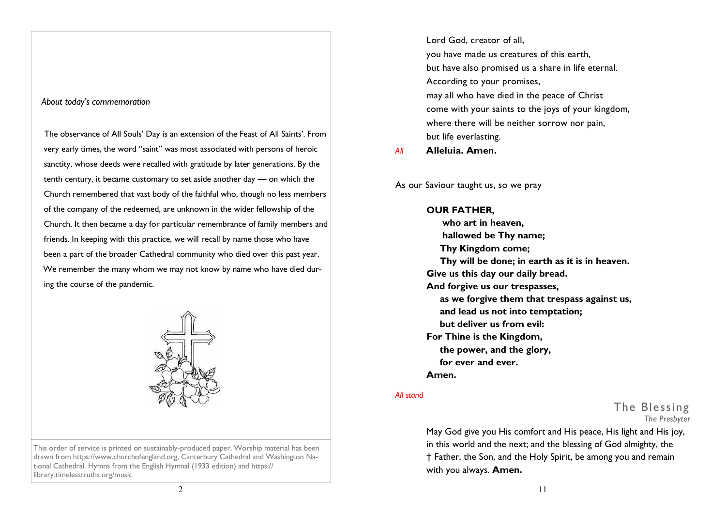### *About today's commemoration*

 The observance of All Souls' Day is an extension of the Feast of All Saints'. From very early times, the word "saint" was most associated with persons of heroic sanctity, whose deeds were recalled with gratitude by later generations. By the tenth century, it became customary to set aside another day — on which the Church remembered that vast body of the faithful who, though no less members of the company of the redeemed, are unknown in the wider fellowship of the Church. It then became a day for particular remembrance of family members and friends. In keeping with this practice, we will recall by name those who have been a part of the broader Cathedral community who died over this past year. We remember the many whom we may not know by name who have died during the course of the pandemic.



This order of service is printed on sustainably-produced paper. Worship material has been drawn from https://www.churchofengland.org, Canterbury Cathedral and Washington National Cathedral. Hymns from the English Hymnal (1933 edition) and https:// library.timelesstruths.org/music

Lord God, creator of all, you have made us creatures of this earth, but have also promised us a share in life eternal. According to your promises, may all who have died in the peace of Christ come with your saints to the joys of your kingdom, where there will be neither sorrow nor pain, but life everlasting.

*All* **Alleluia. Amen.**

As our Saviour taught us, so we pray

## **OUR FATHER, who art in heaven, hallowed be Thy name; Thy Kingdom come; Thy will be done; in earth as it is in heaven. Give us this day our daily bread. And forgive us our trespasses, as we forgive them that trespass against us, and lead us not into temptation; but deliver us from evil: For Thine is the Kingdom, the power, and the glory, for ever and ever. Amen.**

### *All stand*

The Blessing *The Presbyter*

May God give you His comfort and His peace, His light and His joy, in this world and the next; and the blessing of God almighty, the † Father, the Son, and the Holy Spirit, be among you and remain with you always. **Amen.**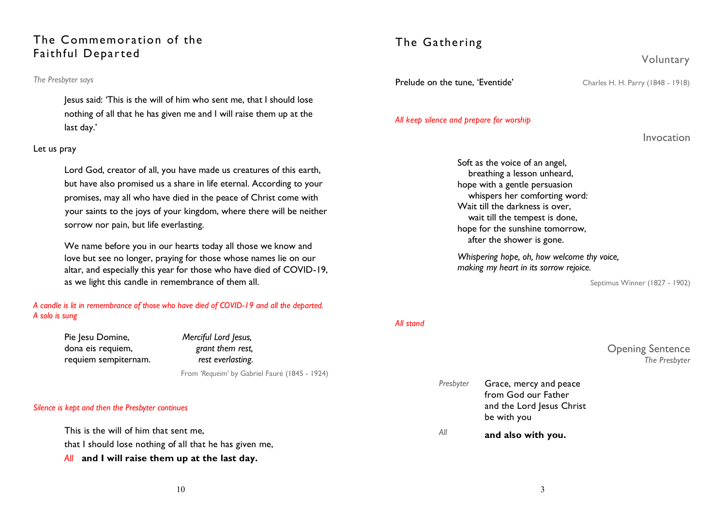# The Commemoration of the Faithful Departed

### *The Presbyter says*

Jesus said: 'This is the will of him who sent me, that I should lose nothing of all that he has given me and I will raise them up at the last day.'

### Let us pray

Lord God, creator of all, you have made us creatures of this earth, but have also promised us a share in life eternal. According to your promises, may all who have died in the peace of Christ come with your saints to the joys of your kingdom, where there will be neither sorrow nor pain, but life everlasting.

We name before you in our hearts today all those we know and love but see no longer, praying for those whose names lie on our altar, and especially this year for those who have died of COVID-19, as we light this candle in remembrance of them all.

*A candle is lit in remembrance of those who have died of COVID-19 and all the departed. A solo is sung*

> Pie Jesu Domine, *Merciful Lord Jesus,*  dona eis requiem, *grant them rest,*  requiem sempiternam. *rest everlasting.*

From *'Requeim'* by Gabriel Fauré (1845 - 1924)

### *Silence is kept and then the Presbyter continues*

This is the will of him that sent me, that I should lose nothing of all that he has given me, *All* **and I will raise them up at the last day.**

# The Gathering

**Prelude on the tune, 'Eventide'** Charles H. H. Parry (1848 - 1918)

### *All keep silence and prepare for worship*

Invocation

Voluntary

Soft as the voice of an angel, breathing a lesson unheard, hope with a gentle persuasion whispers her comforting word: Wait till the darkness is over, wait till the tempest is done, hope for the sunshine tomorrow, after the shower is gone.

*Whispering hope, oh, how welcome thy voice, making my heart in its sorrow rejoice.* 

Septimus Winner (1827 - 1902)

### *All stand*

Opening Sentence *The Presbyter* 

| All       | and also with you.                                              |
|-----------|-----------------------------------------------------------------|
|           | from God our Father<br>and the Lord Jesus Christ<br>be with you |
| Presbyter | Grace, mercy and peace                                          |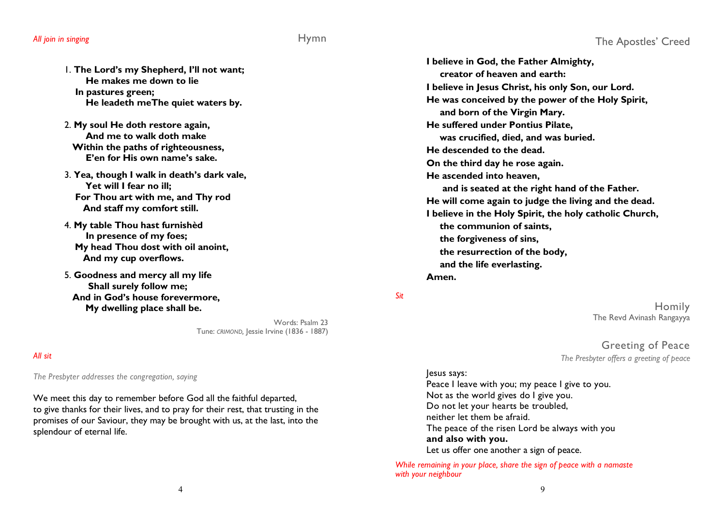1. **The Lord's my Shepherd, I'll not want; He makes me down to lie In pastures green; He leadeth meThe quiet waters by.**

- 2. **My soul He doth restore again, And me to walk doth make Within the paths of righteousness, E'en for His own name's sake.**
- 3. **Yea, though I walk in death's dark vale, Yet will I fear no ill; For Thou art with me, and Thy rod And staff my comfort still.**
- 4. **My table Thou hast furnishèd In presence of my foes; My head Thou dost with oil anoint, And my cup overflows.**
- 5. **Goodness and mercy all my life Shall surely follow me; And in God's house forevermore, My dwelling place shall be.**

Words: Psalm 23 Tune: *CRIMOND,* Jessie Irvine (1836 - 1887)

### *All sit*

*The Presbyter addresses the congregation, saying*

We meet this day to remember before God all the faithful departed, to give thanks for their lives, and to pray for their rest, that trusting in the promises of our Saviour, they may be brought with us, at the last, into the splendour of eternal life.

**I believe in God, the Father Almighty, creator of heaven and earth: I believe in Jesus Christ, his only Son, our Lord. He was conceived by the power of the Holy Spirit, and born of the Virgin Mary. He suffered under Pontius Pilate, was crucified, died, and was buried. He descended to the dead. On the third day he rose again. He ascended into heaven, and is seated at the right hand of the Father. He will come again to judge the living and the dead. I believe in the Holy Spirit, the holy catholic Church, the communion of saints, the forgiveness of sins, the resurrection of the body, and the life everlasting. Amen.** 

### *Sit*

Homily The Revd Avinash Rangayya

Greeting of Peace *The Presbyter offers a greeting of peace*

### lesus says:

Peace I leave with you; my peace I give to you. Not as the world gives do I give you. Do not let your hearts be troubled, neither let them be afraid. The peace of the risen Lord be always with you  **and also with you.** Let us offer one another a sign of peace.

*While remaining in your place, share the sign of peace with a namaste with your neighbour*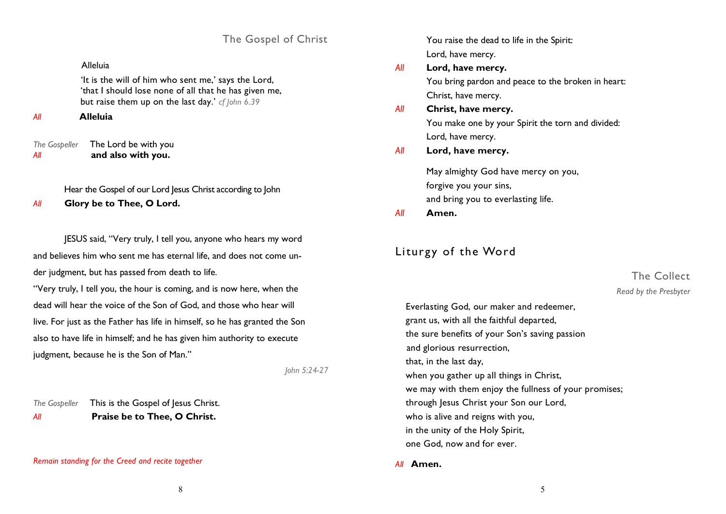The Gospel of Christ

### Alleluia

 'It is the will of him who sent me,' says the Lord, 'that I should lose none of all that he has given me, but raise them up on the last day.' *cf John 6.39*

### *All* **Alleluia**

*The Gospeller* The Lord be with you *All* **and also with you.** 

Hear the Gospel of our Lord Jesus Christ according to John

*All* **Glory be to Thee, O Lord.** 

JESUS said, "Very truly, I tell you, anyone who hears my word and believes him who sent me has eternal life, and does not come under judgment, but has passed from death to life.

"Very truly, I tell you, the hour is coming, and is now here, when the dead will hear the voice of the Son of God, and those who hear will live. For just as the Father has life in himself, so he has granted the Son also to have life in himself; and he has given him authority to execute judgment, because he is the Son of Man."

*John 5:24-27*

*The Gospeller* This is the Gospel of Jesus Christ. *All* **Praise be to Thee, O Christ.**

### *Remain standing for the Creed and recite together*

You raise the dead to life in the Spirit: Lord, have mercy.

## *All* **Lord, have mercy.** You bring pardon and peace to the broken in heart: Christ, have mercy.

- *All* **Christ, have mercy.** You make one by your Spirit the torn and divided: Lord, have mercy.
- *All* **Lord, have mercy.**

May almighty God have mercy on you, forgive you your sins, and bring you to everlasting life.

*All* **Amen.**

# Liturgy of the Word

# The Collect *Read by the Presbyter*

Everlasting God, our maker and redeemer, grant us, with all the faithful departed, the sure benefits of your Son's saving passion and glorious resurrection, that, in the last day, when you gather up all things in Christ, we may with them enjoy the fullness of your promises; through Jesus Christ your Son our Lord, who is alive and reigns with you, in the unity of the Holy Spirit, one God, now and for ever.

*All* **Amen.**